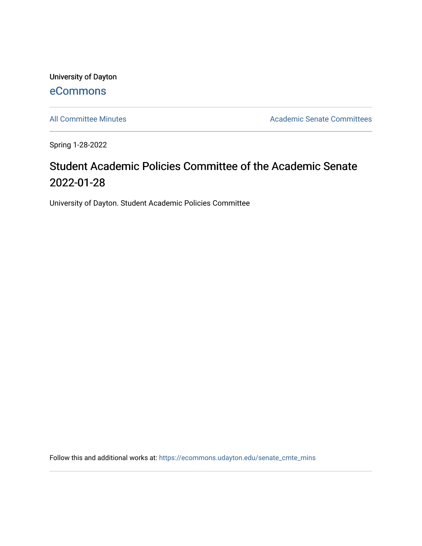University of Dayton [eCommons](https://ecommons.udayton.edu/)

[All Committee Minutes](https://ecommons.udayton.edu/senate_cmte_mins) **Academic Senate Committees** 

Spring 1-28-2022

## Student Academic Policies Committee of the Academic Senate 2022-01-28

University of Dayton. Student Academic Policies Committee

Follow this and additional works at: [https://ecommons.udayton.edu/senate\\_cmte\\_mins](https://ecommons.udayton.edu/senate_cmte_mins?utm_source=ecommons.udayton.edu%2Fsenate_cmte_mins%2F469&utm_medium=PDF&utm_campaign=PDFCoverPages)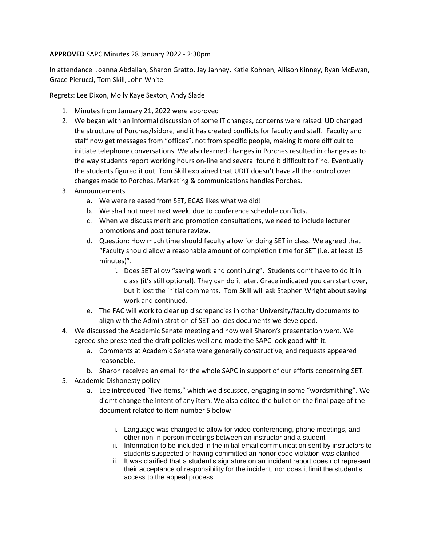## **APPROVED** SAPC Minutes 28 January 2022 - 2:30pm

In attendance Joanna Abdallah, Sharon Gratto, Jay Janney, Katie Kohnen, Allison Kinney, Ryan McEwan, Grace Pierucci, Tom Skill, John White

Regrets: Lee Dixon, Molly Kaye Sexton, Andy Slade

- 1. Minutes from January 21, 2022 were approved
- 2. We began with an informal discussion of some IT changes, concerns were raised. UD changed the structure of Porches/Isidore, and it has created conflicts for faculty and staff. Faculty and staff now get messages from "offices", not from specific people, making it more difficult to initiate telephone conversations. We also learned changes in Porches resulted in changes as to the way students report working hours on-line and several found it difficult to find. Eventually the students figured it out. Tom Skill explained that UDIT doesn't have all the control over changes made to Porches. Marketing & communications handles Porches.
- 3. Announcements
	- a. We were released from SET, ECAS likes what we did!
	- b. We shall not meet next week, due to conference schedule conflicts.
	- c. When we discuss merit and promotion consultations, we need to include lecturer promotions and post tenure review.
	- d. Question: How much time should faculty allow for doing SET in class. We agreed that "Faculty should allow a reasonable amount of completion time for SET (i.e. at least 15 minutes)".
		- i. Does SET allow "saving work and continuing". Students don't have to do it in class (it's still optional). They can do it later. Grace indicated you can start over, but it lost the initial comments. Tom Skill will ask Stephen Wright about saving work and continued.
	- e. The FAC will work to clear up discrepancies in other University/faculty documents to align with the Administration of SET policies documents we developed.
- 4. We discussed the Academic Senate meeting and how well Sharon's presentation went. We agreed she presented the draft policies well and made the SAPC look good with it.
	- a. Comments at Academic Senate were generally constructive, and requests appeared reasonable.
	- b. Sharon received an email for the whole SAPC in support of our efforts concerning SET.
- 5. Academic Dishonesty policy
	- a. Lee introduced "five items," which we discussed, engaging in some "wordsmithing". We didn't change the intent of any item. We also edited the bullet on the final page of the document related to item number 5 below
		- i. Language was changed to allow for video conferencing, phone meetings, and other non-in-person meetings between an instructor and a student
		- ii. Information to be included in the initial email communication sent by instructors to students suspected of having committed an honor code violation was clarified
		- iii. It was clarified that a student's signature on an incident report does not represent their acceptance of responsibility for the incident, nor does it limit the student's access to the appeal process